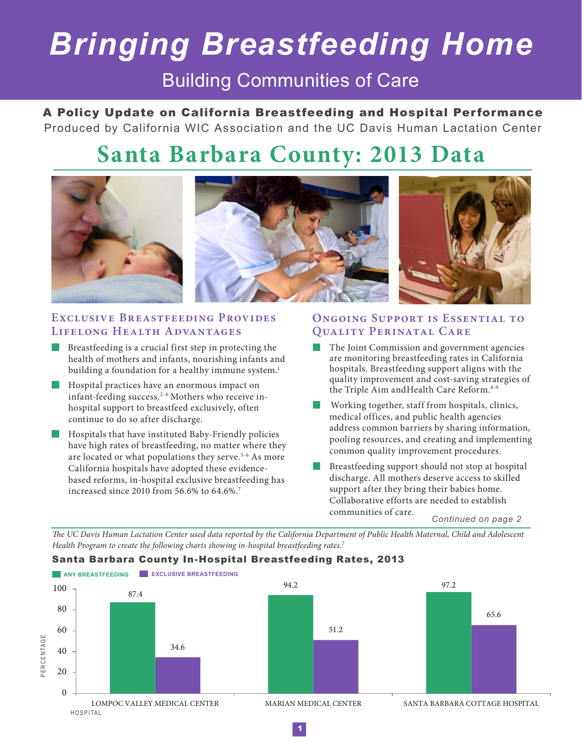# *Bringing Breastfeeding Home*

### Building Communities of Care

A Policy Update on California Breastfeeding and Hospital Performance Produced by California WIC Association and the UC Davis Human Lactation Center

## **Santa Barbara County: 2013 Data**



#### EXCLUSIVE BREASTFEEDING PROVIDES **Lifelong Health Advantages**

- Breastfeeding is a crucial first step in protecting the health of mothers and infants, nourishing infants and building a foundation for a healthy immune system.<sup>1</sup>
- **Hospital practices have an enormous impact on** infant-feeding success.2-4 Mothers who receive inhospital support to breastfeed exclusively, often continue to do so after discharge.
- **Hospitals that have instituted Baby-Friendly policies** have high rates of breastfeeding, no matter where they are located or what populations they serve.<sup>5-6</sup> As more California hospitals have adopted these evidencebased reforms, in-hospital exclusive breastfeeding has increased since 2010 from 56.6% to 64.6%.7

#### **Ongoing Support is Essential to Quality Perinatal Care**

- The Joint Commission and government agencies are monitoring breastfeeding rates in California hospitals. Breastfeeding support aligns with the quality improvement and cost-saving strategies of the Triple Aim and Health Care Reform.<sup>8-9</sup>
- Working together, staff from hospitals, clinics, medical offices, and public health agencies address common barriers by sharing information, pooling resources, and creating and implementing common quality improvement procedures.
- Breastfeeding support should not stop at hospital discharge. All mothers deserve access to skilled support after they bring their babies home. Collaborative efforts are needed to establish communities of care.

*Continued on page 2*

*The UC Davis Human Lactation Center used data reported by the California Department of Public Health Maternal, Child and Adolescent Health Program to create the following charts showing in-hospital breastfeeding rates.*<sup>7</sup>

#### Santa Barbara County In-Hospital Breastfeeding Rates, 2013